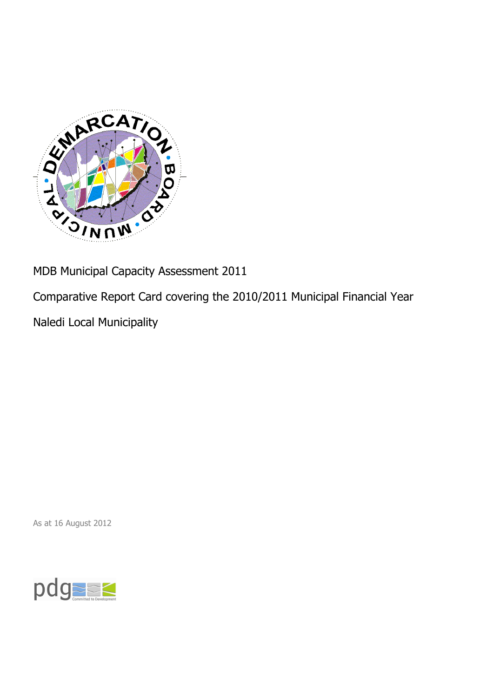

MDB Municipal Capacity Assessment 2011

Comparative Report Card covering the 2010/2011 Municipal Financial Year

Naledi Local Municipality

As at 16 August 2012

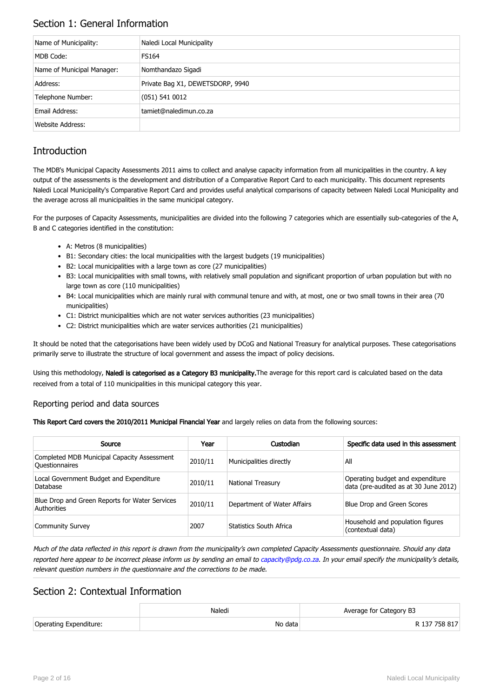## Section 1: General Information

| Name of Municipality:      | Naledi Local Municipality        |
|----------------------------|----------------------------------|
| MDB Code:                  | <b>FS164</b>                     |
| Name of Municipal Manager: | Nomthandazo Sigadi               |
| Address:                   | Private Bag X1, DEWETSDORP, 9940 |
| Telephone Number:          | $(051)$ 541 0012                 |
| Email Address:             | tamiet@naledimun.co.za           |
| Website Address:           |                                  |

# **Introduction**

The MDB's Municipal Capacity Assessments 2011 aims to collect and analyse capacity information from all municipalities in the country. A key output of the assessments is the development and distribution of a Comparative Report Card to each municipality. This document represents Naledi Local Municipality's Comparative Report Card and provides useful analytical comparisons of capacity between Naledi Local Municipality and the average across all municipalities in the same municipal category.

For the purposes of Capacity Assessments, municipalities are divided into the following 7 categories which are essentially sub-categories of the A, B and C categories identified in the constitution:

- A: Metros (8 municipalities)
- B1: Secondary cities: the local municipalities with the largest budgets (19 municipalities)
- B2: Local municipalities with a large town as core (27 municipalities)
- B3: Local municipalities with small towns, with relatively small population and significant proportion of urban population but with no large town as core (110 municipalities)
- B4: Local municipalities which are mainly rural with communal tenure and with, at most, one or two small towns in their area (70 municipalities)
- C1: District municipalities which are not water services authorities (23 municipalities)
- C2: District municipalities which are water services authorities (21 municipalities)

It should be noted that the categorisations have been widely used by DCoG and National Treasury for analytical purposes. These categorisations primarily serve to illustrate the structure of local government and assess the impact of policy decisions.

Using this methodology, Naledi is categorised as a Category B3 municipality. The average for this report card is calculated based on the data received from a total of 110 municipalities in this municipal category this year.

### Reporting period and data sources

This Report Card covers the 2010/2011 Municipal Financial Year and largely relies on data from the following sources:

| Source                                                               | Year    | Custodian                   | Specific data used in this assessment                                     |
|----------------------------------------------------------------------|---------|-----------------------------|---------------------------------------------------------------------------|
| Completed MDB Municipal Capacity Assessment<br><b>Ouestionnaires</b> | 2010/11 | Municipalities directly     | All                                                                       |
| Local Government Budget and Expenditure<br>Database                  | 2010/11 | <b>National Treasury</b>    | Operating budget and expenditure<br>data (pre-audited as at 30 June 2012) |
| Blue Drop and Green Reports for Water Services<br>Authorities        | 2010/11 | Department of Water Affairs | Blue Drop and Green Scores                                                |
| <b>Community Survey</b>                                              | 2007    | Statistics South Africa     | Household and population figures<br>(contextual data)                     |

Much of the data reflected in this report is drawn from the municipality's own completed Capacity Assessments questionnaire. Should any data reported here appear to be incorrect please inform us by sending an email to [capacity@pdg.co.za](mailto:capacity@pdg.co.za). In your email specify the municipality's details, relevant question numbers in the questionnaire and the corrections to be made.

## Section 2: Contextual Information

|                        | Naledi  | Average for Category B3 |
|------------------------|---------|-------------------------|
| Operating Expenditure: | No data | R 137 758 817           |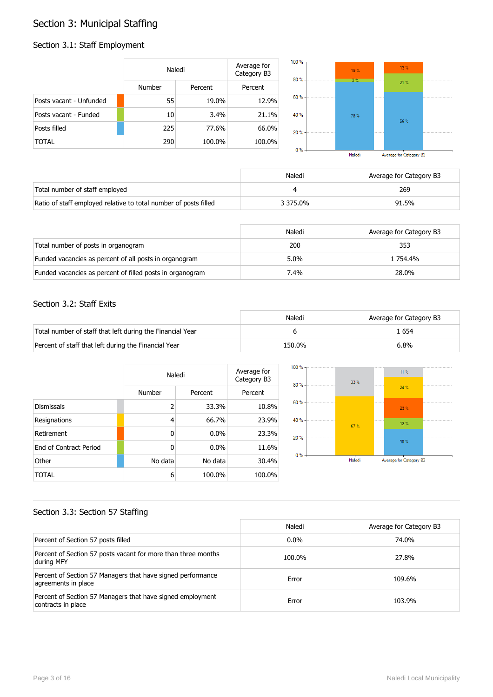# Section 3: Municipal Staffing

## Section 3.1: Staff Employment

|                         | Naledi |         | Average for<br>Category B3 | $100 \%$ -<br>80% | 19%<br>$3\%$ | $13\%$ |  |
|-------------------------|--------|---------|----------------------------|-------------------|--------------|--------|--|
|                         | Number | Percent | Percent                    |                   |              | 21%    |  |
| Posts vacant - Unfunded | 55     | 19.0%   | 12.9%                      | $60% -$           |              |        |  |
| Posts vacant - Funded   | 10     | 3.4%    | 21.1%                      | 40 % -            | 78%          | 66%    |  |
| Posts filled            | 225    | 77.6%   | 66.0%                      | 20%               |              |        |  |
| <b>TOTAL</b>            | 290    | 100.0%  | 100.0%                     | $0\%$ -           |              |        |  |

| Naledi | Average for Category B3 |  |
|--------|-------------------------|--|

|                                                                  | Naledi   | Average for Category B3 |
|------------------------------------------------------------------|----------|-------------------------|
| Total number of staff employed                                   |          | 269                     |
| Ratio of staff employed relative to total number of posts filled | 3 375.0% | 91.5%                   |

|                                                           | Naledi  | Average for Category B3 |
|-----------------------------------------------------------|---------|-------------------------|
| Total number of posts in organogram                       | 200     | 353                     |
| Funded vacancies as percent of all posts in organogram    | $5.0\%$ | 1 754.4%                |
| Funded vacancies as percent of filled posts in organogram | 7.4%    | 28.0%                   |

### Section 3.2: Staff Exits

|                                                           | Naledi | Average for Category B3 |
|-----------------------------------------------------------|--------|-------------------------|
| Total number of staff that left during the Financial Year |        | . 654                   |
| Percent of staff that left during the Financial Year      | 150.0% | $6.8\%$                 |

|                               |                | Naledi  |         |  |
|-------------------------------|----------------|---------|---------|--|
|                               | Number         | Percent | Percent |  |
| <b>Dismissals</b>             | $\overline{2}$ | 33.3%   | 10.8%   |  |
| Resignations                  | 4              | 66.7%   | 23.9%   |  |
| Retirement                    | $\mathbf{0}$   | 0.0%    | 23.3%   |  |
| <b>Fnd of Contract Period</b> | $\mathbf{0}$   | 0.0%    | 11.6%   |  |
| Other                         | No data        | No data | 30.4%   |  |
| TOTAL                         | 6              | 100.0%  | 100.0%  |  |



### Section 3.3: Section 57 Staffing

|                                                                                    | Naledi  | Average for Category B3 |
|------------------------------------------------------------------------------------|---------|-------------------------|
| Percent of Section 57 posts filled                                                 | $0.0\%$ | 74.0%                   |
| Percent of Section 57 posts vacant for more than three months<br>during MFY        | 100.0%  | 27.8%                   |
| Percent of Section 57 Managers that have signed performance<br>agreements in place | Error   | 109.6%                  |
| Percent of Section 57 Managers that have signed employment<br>contracts in place   | Error   | 103.9%                  |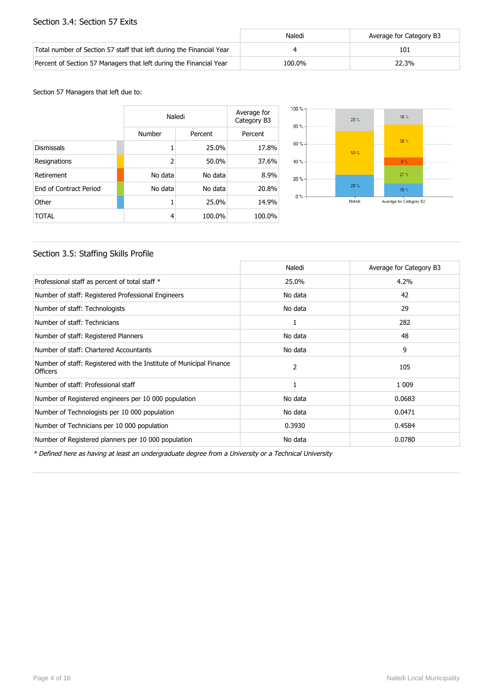### Section 3.4: Section 57 Exits

|                                                                      | Naledi | Average for Category B3 |
|----------------------------------------------------------------------|--------|-------------------------|
| Total number of Section 57 staff that left during the Financial Year |        | 101                     |
| Percent of Section 57 Managers that left during the Financial Year   | 100.0% | 22.3%                   |

#### Section 57 Managers that left due to:

|                        |                | Naledi  |         |  |
|------------------------|----------------|---------|---------|--|
|                        | Number         | Percent | Percent |  |
| <b>Dismissals</b>      | 1              | 25.0%   | 17.8%   |  |
| Resignations           | $\overline{2}$ | 50.0%   | 37.6%   |  |
| Retirement             | No data        | No data | 8.9%    |  |
| End of Contract Period | No data        | No data | 20.8%   |  |
| Other                  | 1              | 25.0%   | 14.9%   |  |
| TOTAL                  | 4              | 100.0%  | 100.0%  |  |



### Section 3.5: Staffing Skills Profile

|                                                                                        | Naledi  | Average for Category B3 |
|----------------------------------------------------------------------------------------|---------|-------------------------|
| Professional staff as percent of total staff *                                         | 25.0%   | 4.2%                    |
| Number of staff: Registered Professional Engineers                                     | No data | 42                      |
| Number of staff: Technologists                                                         | No data | 29                      |
| Number of staff: Technicians                                                           | 1       | 282                     |
| Number of staff: Registered Planners                                                   | No data | 48                      |
| Number of staff: Chartered Accountants                                                 | No data | 9                       |
| Number of staff: Registered with the Institute of Municipal Finance<br><b>Officers</b> | 2       | 105                     |
| Number of staff: Professional staff                                                    | 1       | 1 0 0 9                 |
| Number of Registered engineers per 10 000 population                                   | No data | 0.0683                  |
| Number of Technologists per 10 000 population                                          | No data | 0.0471                  |
| Number of Technicians per 10 000 population                                            | 0.3930  | 0.4584                  |
| Number of Registered planners per 10 000 population                                    | No data | 0.0780                  |

\* Defined here as having at least an undergraduate degree from a University or a Technical University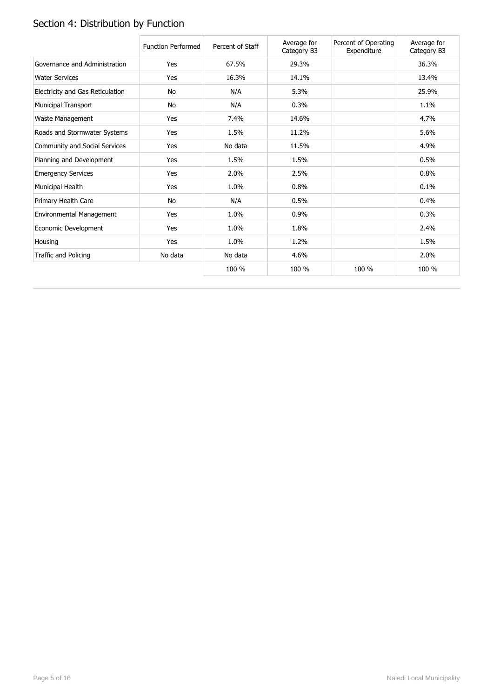# Section 4: Distribution by Function

|                                  | <b>Function Performed</b> | Percent of Staff | Average for<br>Category B3 | Percent of Operating<br>Expenditure | Average for<br>Category B3 |
|----------------------------------|---------------------------|------------------|----------------------------|-------------------------------------|----------------------------|
| Governance and Administration    | Yes                       | 67.5%            | 29.3%                      |                                     | 36.3%                      |
| <b>Water Services</b>            | Yes                       | 16.3%            | 14.1%                      |                                     | 13.4%                      |
| Electricity and Gas Reticulation | No                        | N/A              | 5.3%                       |                                     | 25.9%                      |
| <b>Municipal Transport</b>       | No                        | N/A              | 0.3%                       |                                     | 1.1%                       |
| Waste Management                 | Yes                       | 7.4%             | 14.6%                      |                                     | 4.7%                       |
| Roads and Stormwater Systems     | Yes                       | 1.5%             | 11.2%                      |                                     | 5.6%                       |
| Community and Social Services    | Yes                       | No data          | 11.5%                      |                                     | 4.9%                       |
| Planning and Development         | Yes                       | 1.5%             | 1.5%                       |                                     | 0.5%                       |
| <b>Emergency Services</b>        | Yes                       | 2.0%             | 2.5%                       |                                     | 0.8%                       |
| Municipal Health                 | Yes                       | 1.0%             | 0.8%                       |                                     | 0.1%                       |
| Primary Health Care              | No                        | N/A              | 0.5%                       |                                     | 0.4%                       |
| Environmental Management         | Yes                       | 1.0%             | 0.9%                       |                                     | 0.3%                       |
| Economic Development             | Yes                       | 1.0%             | 1.8%                       |                                     | 2.4%                       |
| Housing                          | Yes                       | 1.0%             | 1.2%                       |                                     | 1.5%                       |
| Traffic and Policing             | No data                   | No data          | 4.6%                       |                                     | 2.0%                       |
|                                  |                           | 100 %            | 100 %                      | 100 %                               | 100 %                      |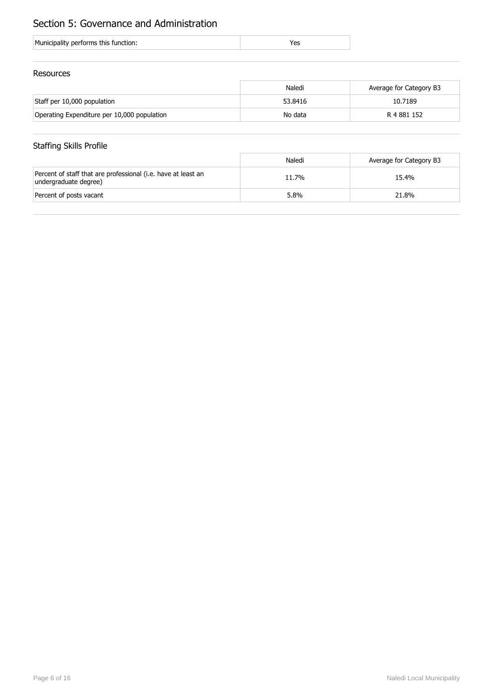# Section 5: Governance and Administration

| Municipality performs this function: |  |
|--------------------------------------|--|
|                                      |  |

### Resources

|                                             | Naledi  | Average for Category B3 |
|---------------------------------------------|---------|-------------------------|
| Staff per 10,000 population                 | 53.8416 | 10.7189                 |
| Operating Expenditure per 10,000 population | No data | R 4 881 152             |

## Staffing Skills Profile

|                                                                                        | Naledi | Average for Category B3 |
|----------------------------------------------------------------------------------------|--------|-------------------------|
| Percent of staff that are professional (i.e. have at least an<br>undergraduate degree) | 11.7%  | 15.4%                   |
| Percent of posts vacant                                                                | 5.8%   | 21.8%                   |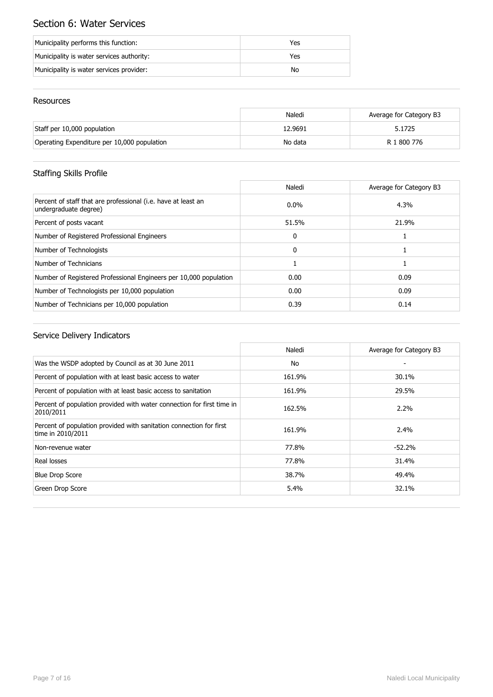# Section 6: Water Services

| Municipality performs this function:      | Yes |
|-------------------------------------------|-----|
| Municipality is water services authority: | Yes |
| Municipality is water services provider:  | No  |

### Resources

|                                             | Naledi  | Average for Category B3 |
|---------------------------------------------|---------|-------------------------|
| Staff per 10,000 population                 | 12.9691 | 5.1725                  |
| Operating Expenditure per 10,000 population | No data | R 1 800 776             |

## Staffing Skills Profile

|                                                                                        | Naledi       | Average for Category B3 |
|----------------------------------------------------------------------------------------|--------------|-------------------------|
| Percent of staff that are professional (i.e. have at least an<br>undergraduate degree) | $0.0\%$      | 4.3%                    |
| Percent of posts vacant                                                                | 51.5%        | 21.9%                   |
| Number of Registered Professional Engineers                                            | $\mathbf{0}$ |                         |
| Number of Technologists                                                                | $\Omega$     |                         |
| Number of Technicians                                                                  |              |                         |
| Number of Registered Professional Engineers per 10,000 population                      | 0.00         | 0.09                    |
| Number of Technologists per 10,000 population                                          | 0.00         | 0.09                    |
| Number of Technicians per 10,000 population                                            | 0.39         | 0.14                    |

|                                                                                          | Naledi | Average for Category B3 |
|------------------------------------------------------------------------------------------|--------|-------------------------|
| Was the WSDP adopted by Council as at 30 June 2011                                       | No     | ٠                       |
| Percent of population with at least basic access to water                                | 161.9% | 30.1%                   |
| Percent of population with at least basic access to sanitation                           | 161.9% | 29.5%                   |
| Percent of population provided with water connection for first time in<br>2010/2011      | 162.5% | 2.2%                    |
| Percent of population provided with sanitation connection for first<br>time in 2010/2011 | 161.9% | 2.4%                    |
| Non-revenue water                                                                        | 77.8%  | $-52.2%$                |
| Real losses                                                                              | 77.8%  | 31.4%                   |
| <b>Blue Drop Score</b>                                                                   | 38.7%  | 49.4%                   |
| Green Drop Score                                                                         | 5.4%   | 32.1%                   |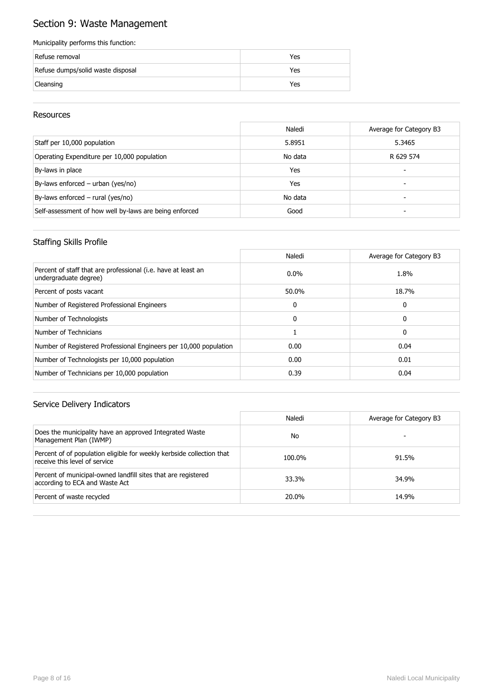# Section 9: Waste Management

#### Municipality performs this function:

| Refuse removal                    | Yes |
|-----------------------------------|-----|
| Refuse dumps/solid waste disposal | Yes |
| Cleansing                         | Yes |

### Resources

|                                                        | Naledi  | Average for Category B3 |
|--------------------------------------------------------|---------|-------------------------|
| Staff per 10,000 population                            | 5.8951  | 5.3465                  |
| Operating Expenditure per 10,000 population            | No data | R 629 574               |
| By-laws in place                                       | Yes     |                         |
| By-laws enforced - urban (yes/no)                      | Yes     | -                       |
| By-laws enforced - rural (yes/no)                      | No data |                         |
| Self-assessment of how well by-laws are being enforced | Good    |                         |

### Staffing Skills Profile

|                                                                                        | Naledi   | Average for Category B3 |
|----------------------------------------------------------------------------------------|----------|-------------------------|
| Percent of staff that are professional (i.e. have at least an<br>undergraduate degree) | $0.0\%$  | 1.8%                    |
| Percent of posts vacant                                                                | 50.0%    | 18.7%                   |
| Number of Registered Professional Engineers                                            | 0        | 0                       |
| Number of Technologists                                                                | $\Omega$ | 0                       |
| Number of Technicians                                                                  |          | 0                       |
| Number of Registered Professional Engineers per 10,000 population                      | 0.00     | 0.04                    |
| Number of Technologists per 10,000 population                                          | 0.00     | 0.01                    |
| Number of Technicians per 10,000 population                                            | 0.39     | 0.04                    |

|                                                                                                        | Naledi | Average for Category B3 |
|--------------------------------------------------------------------------------------------------------|--------|-------------------------|
| Does the municipality have an approved Integrated Waste<br>Management Plan (IWMP)                      | No     |                         |
| Percent of of population eligible for weekly kerbside collection that<br>receive this level of service | 100.0% | 91.5%                   |
| Percent of municipal-owned landfill sites that are registered<br>according to ECA and Waste Act        | 33.3%  | 34.9%                   |
| Percent of waste recycled                                                                              | 20.0%  | 14.9%                   |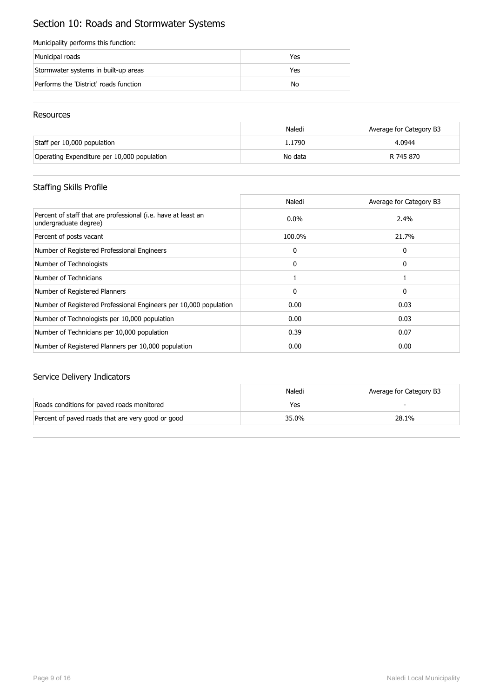# Section 10: Roads and Stormwater Systems

#### Municipality performs this function:

| Municipal roads                        | Yes |
|----------------------------------------|-----|
| Stormwater systems in built-up areas   | Yes |
| Performs the 'District' roads function | No  |

### Resources

|                                             | Naledi  | Average for Category B3 |
|---------------------------------------------|---------|-------------------------|
| Staff per 10,000 population                 | 1.1790  | 4.0944                  |
| Operating Expenditure per 10,000 population | No data | R 745 870               |

## Staffing Skills Profile

|                                                                                        | Naledi       | Average for Category B3 |
|----------------------------------------------------------------------------------------|--------------|-------------------------|
| Percent of staff that are professional (i.e. have at least an<br>undergraduate degree) | $0.0\%$      | 2.4%                    |
| Percent of posts vacant                                                                | 100.0%       | 21.7%                   |
| Number of Registered Professional Engineers                                            | 0            | 0                       |
| Number of Technologists                                                                | $\mathbf{0}$ | 0                       |
| Number of Technicians                                                                  |              |                         |
| Number of Registered Planners                                                          | 0            | 0                       |
| Number of Registered Professional Engineers per 10,000 population                      | 0.00         | 0.03                    |
| Number of Technologists per 10,000 population                                          | 0.00         | 0.03                    |
| Number of Technicians per 10,000 population                                            | 0.39         | 0.07                    |
| Number of Registered Planners per 10,000 population                                    | 0.00         | 0.00                    |

|                                                   | Naledi | Average for Category B3 |
|---------------------------------------------------|--------|-------------------------|
| Roads conditions for paved roads monitored        | Yes    |                         |
| Percent of paved roads that are very good or good | 35.0%  | 28.1%                   |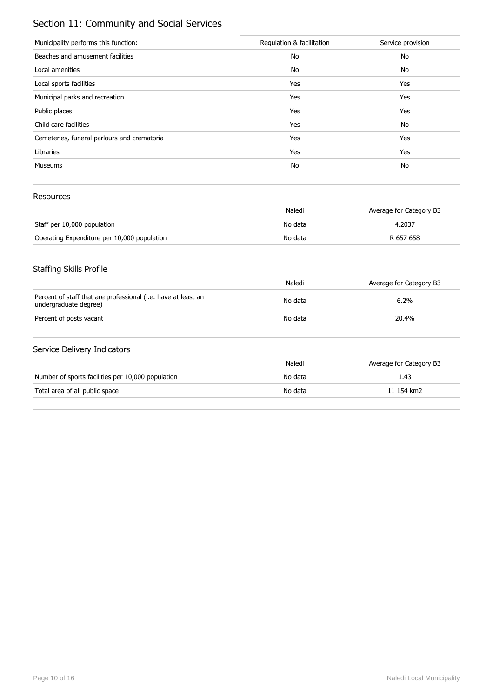# Section 11: Community and Social Services

| Municipality performs this function:        | Regulation & facilitation | Service provision |
|---------------------------------------------|---------------------------|-------------------|
| Beaches and amusement facilities            | No                        | No                |
| Local amenities                             | No                        | No                |
| Local sports facilities                     | Yes                       | Yes               |
| Municipal parks and recreation              | Yes                       | Yes               |
| Public places                               | Yes                       | Yes               |
| Child care facilities                       | Yes                       | No                |
| Cemeteries, funeral parlours and crematoria | Yes                       | Yes               |
| Libraries                                   | Yes                       | Yes               |
| <b>Museums</b>                              | No                        | No                |

### Resources

|                                             | Naledi  | Average for Category B3 |
|---------------------------------------------|---------|-------------------------|
| Staff per 10,000 population                 | No data | 4.2037                  |
| Operating Expenditure per 10,000 population | No data | R 657 658               |

## Staffing Skills Profile

|                                                                                        | Naledi  | Average for Category B3 |
|----------------------------------------------------------------------------------------|---------|-------------------------|
| Percent of staff that are professional (i.e. have at least an<br>undergraduate degree) | No data | 6.2%                    |
| Percent of posts vacant                                                                | No data | 20.4%                   |

|                                                   | Naledi  | Average for Category B3 |
|---------------------------------------------------|---------|-------------------------|
| Number of sports facilities per 10,000 population | No data | 1.43                    |
| Total area of all public space                    | No data | 11 154 km2              |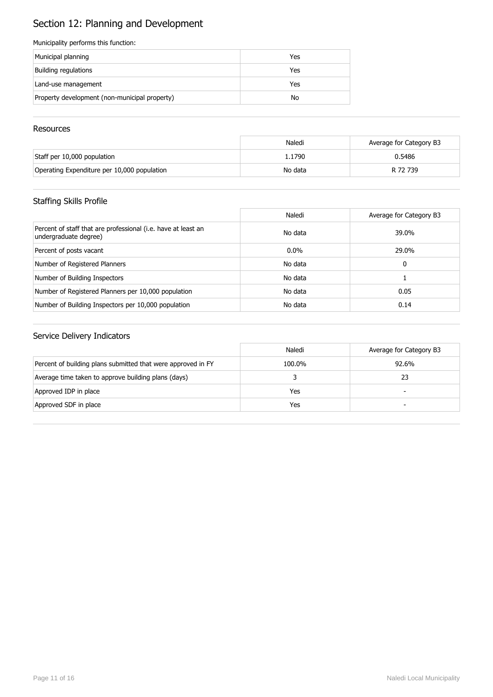# Section 12: Planning and Development

#### Municipality performs this function:

| Municipal planning                            | Yes |
|-----------------------------------------------|-----|
| Building regulations                          | Yes |
| Land-use management                           | Yes |
| Property development (non-municipal property) | No  |

#### **Resources**

|                                             | Naledi  | Average for Category B3 |
|---------------------------------------------|---------|-------------------------|
| Staff per 10,000 population                 | 1.1790  | 0.5486                  |
| Operating Expenditure per 10,000 population | No data | R 72 739                |

## Staffing Skills Profile

|                                                                                        | Naledi  | Average for Category B3 |
|----------------------------------------------------------------------------------------|---------|-------------------------|
| Percent of staff that are professional (i.e. have at least an<br>undergraduate degree) | No data | 39.0%                   |
| Percent of posts vacant                                                                | $0.0\%$ | 29.0%                   |
| Number of Registered Planners                                                          | No data | 0                       |
| Number of Building Inspectors                                                          | No data |                         |
| Number of Registered Planners per 10,000 population                                    | No data | 0.05                    |
| Number of Building Inspectors per 10,000 population                                    | No data | 0.14                    |

|                                                              | Naledi | Average for Category B3  |
|--------------------------------------------------------------|--------|--------------------------|
| Percent of building plans submitted that were approved in FY | 100.0% | 92.6%                    |
| Average time taken to approve building plans (days)          |        | 23                       |
| Approved IDP in place                                        | Yes    | $\overline{\phantom{0}}$ |
| Approved SDF in place                                        | Yes    | -                        |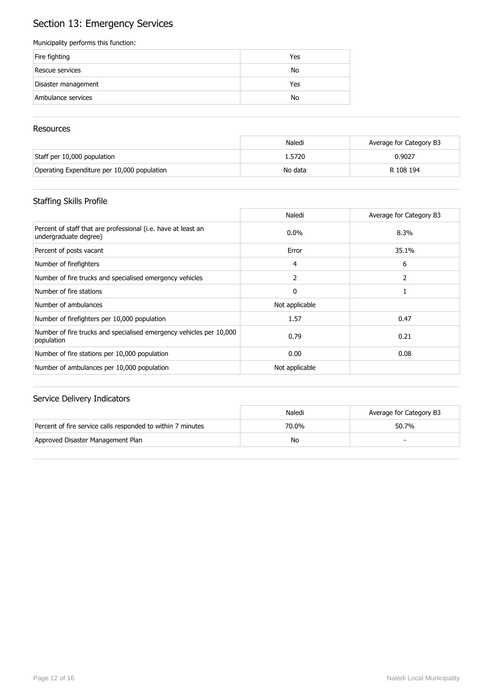# Section 13: Emergency Services

#### Municipality performs this function:

| Fire fighting       | Yes |
|---------------------|-----|
| Rescue services     | No  |
| Disaster management | Yes |
| Ambulance services  | No  |

#### **Resources**

|                                             | Naledi  | Average for Category B3 |
|---------------------------------------------|---------|-------------------------|
| Staff per 10,000 population                 | 1.5720  | 0.9027                  |
| Operating Expenditure per 10,000 population | No data | R 108 194               |

## Staffing Skills Profile

|                                                                                        | Naledi         | Average for Category B3 |
|----------------------------------------------------------------------------------------|----------------|-------------------------|
| Percent of staff that are professional (i.e. have at least an<br>undergraduate degree) | $0.0\%$        | 8.3%                    |
| Percent of posts vacant                                                                | Error          | 35.1%                   |
| Number of firefighters                                                                 | 4              | 6                       |
| Number of fire trucks and specialised emergency vehicles                               | 2              | 2                       |
| Number of fire stations                                                                | $\mathbf{0}$   |                         |
| Number of ambulances                                                                   | Not applicable |                         |
| Number of firefighters per 10,000 population                                           | 1.57           | 0.47                    |
| Number of fire trucks and specialised emergency vehicles per 10,000<br>population      | 0.79           | 0.21                    |
| Number of fire stations per 10,000 population                                          | 0.00           | 0.08                    |
| Number of ambulances per 10,000 population                                             | Not applicable |                         |

|                                                             | Naledi | Average for Category B3 |
|-------------------------------------------------------------|--------|-------------------------|
| Percent of fire service calls responded to within 7 minutes | 70.0%  | 50.7%                   |
| Approved Disaster Management Plan                           | No     |                         |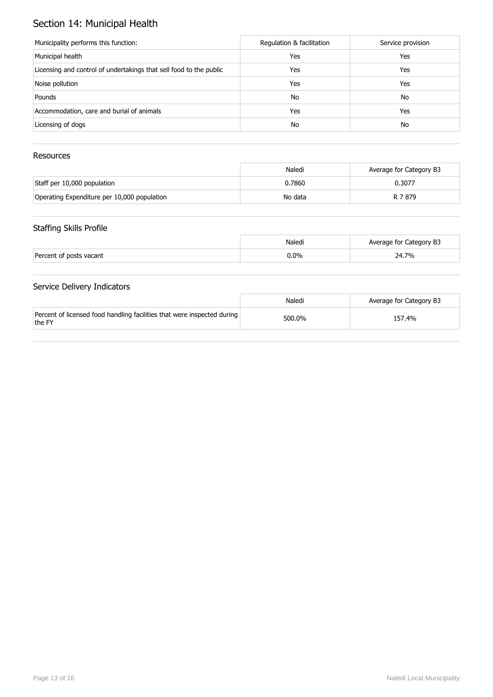# Section 14: Municipal Health

| Municipality performs this function:                               | Regulation & facilitation | Service provision |
|--------------------------------------------------------------------|---------------------------|-------------------|
| Municipal health                                                   | Yes                       | Yes               |
| Licensing and control of undertakings that sell food to the public | Yes                       | Yes               |
| Noise pollution                                                    | Yes                       | Yes               |
| Pounds                                                             | No                        | No                |
| Accommodation, care and burial of animals                          | Yes                       | Yes               |
| Licensing of dogs                                                  | No                        | No                |

### Resources

|                                             | Naledi  | Average for Category B3 |
|---------------------------------------------|---------|-------------------------|
| Staff per 10,000 population                 | 0.7860  | 0.3077                  |
| Operating Expenditure per 10,000 population | No data | R 7 879                 |

## Staffing Skills Profile

|                         | Naledi | Average for Category B3 |
|-------------------------|--------|-------------------------|
| Percent of posts vacant | 0.0%   | 24.7%                   |

|                                                                                   | Naledi | Average for Category B3 |
|-----------------------------------------------------------------------------------|--------|-------------------------|
| Percent of licensed food handling facilities that were inspected during<br>the FY | 500.0% | 157.4%                  |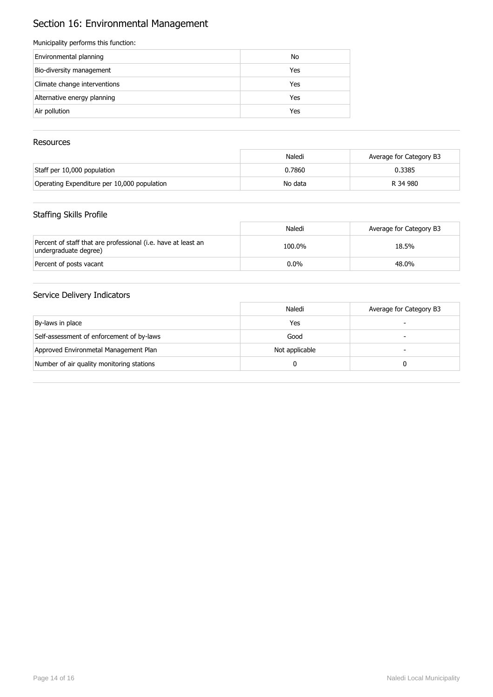# Section 16: Environmental Management

#### Municipality performs this function:

| Environmental planning       | No  |
|------------------------------|-----|
| Bio-diversity management     | Yes |
| Climate change interventions | Yes |
| Alternative energy planning  | Yes |
| Air pollution                | Yes |
|                              |     |

### Resources

|                                             | Naledi  | Average for Category B3 |
|---------------------------------------------|---------|-------------------------|
| Staff per 10,000 population                 | 0.7860  | 0.3385                  |
| Operating Expenditure per 10,000 population | No data | R 34 980                |

### Staffing Skills Profile

|                                                                                        | Naledi  | Average for Category B3 |
|----------------------------------------------------------------------------------------|---------|-------------------------|
| Percent of staff that are professional (i.e. have at least an<br>undergraduate degree) | 100.0%  | 18.5%                   |
| Percent of posts vacant                                                                | $0.0\%$ | 48.0%                   |

|                                           | Naledi         | Average for Category B3 |
|-------------------------------------------|----------------|-------------------------|
| By-laws in place                          | Yes            |                         |
| Self-assessment of enforcement of by-laws | Good           | -                       |
| Approved Environmetal Management Plan     | Not applicable | -                       |
| Number of air quality monitoring stations |                |                         |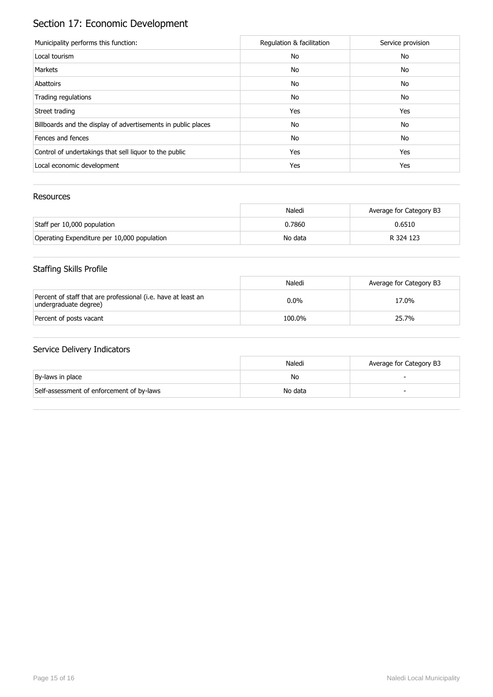# Section 17: Economic Development

| Municipality performs this function:                          | Regulation & facilitation | Service provision |
|---------------------------------------------------------------|---------------------------|-------------------|
| Local tourism                                                 | No                        | No                |
| Markets                                                       | No                        | No                |
| Abattoirs                                                     | No                        | No                |
| Trading regulations                                           | No                        | No                |
| Street trading                                                | Yes                       | Yes               |
| Billboards and the display of advertisements in public places | No                        | No                |
| Fences and fences                                             | No                        | No                |
| Control of undertakings that sell liquor to the public        | Yes                       | Yes               |
| Local economic development                                    | Yes                       | Yes               |

### Resources

|                                             | Naledi  | Average for Category B3 |
|---------------------------------------------|---------|-------------------------|
| Staff per 10,000 population                 | 0.7860  | 0.6510                  |
| Operating Expenditure per 10,000 population | No data | R 324 123               |

## Staffing Skills Profile

|                                                                                        | Naledi  | Average for Category B3 |
|----------------------------------------------------------------------------------------|---------|-------------------------|
| Percent of staff that are professional (i.e. have at least an<br>undergraduate degree) | $0.0\%$ | 17.0%                   |
| Percent of posts vacant                                                                | 100.0%  | 25.7%                   |

|                                           | Naledi  | Average for Category B3 |
|-------------------------------------------|---------|-------------------------|
| By-laws in place                          | No      |                         |
| Self-assessment of enforcement of by-laws | No data | -                       |